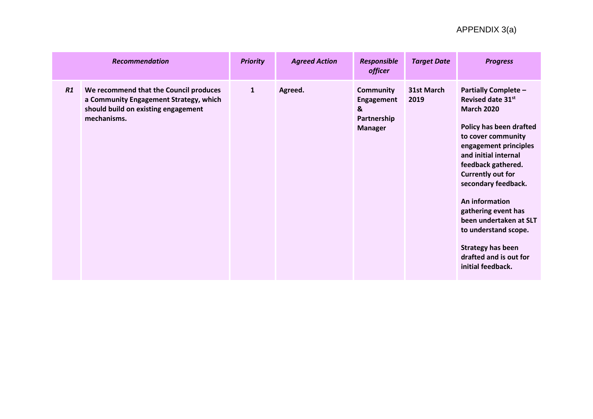|    | <b>Recommendation</b>                                                                                                                  | <b>Priority</b> | <b>Agreed Action</b> | <b>Responsible</b><br><i>officer</i>                                        | <b>Target Date</b> | <b>Progress</b>                                                                                                                                                                                                                                                                                                                                                                                                        |
|----|----------------------------------------------------------------------------------------------------------------------------------------|-----------------|----------------------|-----------------------------------------------------------------------------|--------------------|------------------------------------------------------------------------------------------------------------------------------------------------------------------------------------------------------------------------------------------------------------------------------------------------------------------------------------------------------------------------------------------------------------------------|
| R1 | We recommend that the Council produces<br>a Community Engagement Strategy, which<br>should build on existing engagement<br>mechanisms. | $\mathbf{1}$    | Agreed.              | <b>Community</b><br><b>Engagement</b><br>&<br>Partnership<br><b>Manager</b> | 31st March<br>2019 | <b>Partially Complete -</b><br>Revised date 31st<br><b>March 2020</b><br>Policy has been drafted<br>to cover community<br>engagement principles<br>and initial internal<br>feedback gathered.<br><b>Currently out for</b><br>secondary feedback.<br>An information<br>gathering event has<br>been undertaken at SLT<br>to understand scope.<br><b>Strategy has been</b><br>drafted and is out for<br>initial feedback. |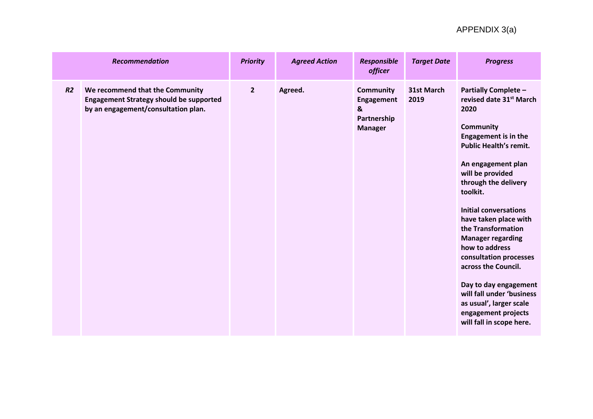|    | <b>Recommendation</b>                                                                                                    | <b>Priority</b> | <b>Agreed Action</b> | Responsible<br>officer                                                      | <b>Target Date</b> | <b>Progress</b>                                                                                                                                                                                                                                                                                                                                                                                                                                                                                                                                                |
|----|--------------------------------------------------------------------------------------------------------------------------|-----------------|----------------------|-----------------------------------------------------------------------------|--------------------|----------------------------------------------------------------------------------------------------------------------------------------------------------------------------------------------------------------------------------------------------------------------------------------------------------------------------------------------------------------------------------------------------------------------------------------------------------------------------------------------------------------------------------------------------------------|
| R2 | We recommend that the Community<br><b>Engagement Strategy should be supported</b><br>by an engagement/consultation plan. | $\overline{2}$  | Agreed.              | <b>Community</b><br><b>Engagement</b><br>&<br>Partnership<br><b>Manager</b> | 31st March<br>2019 | <b>Partially Complete -</b><br>revised date 31 <sup>st</sup> March<br>2020<br><b>Community</b><br><b>Engagement is in the</b><br><b>Public Health's remit.</b><br>An engagement plan<br>will be provided<br>through the delivery<br>toolkit.<br><b>Initial conversations</b><br>have taken place with<br>the Transformation<br><b>Manager regarding</b><br>how to address<br>consultation processes<br>across the Council.<br>Day to day engagement<br>will fall under 'business<br>as usual', larger scale<br>engagement projects<br>will fall in scope here. |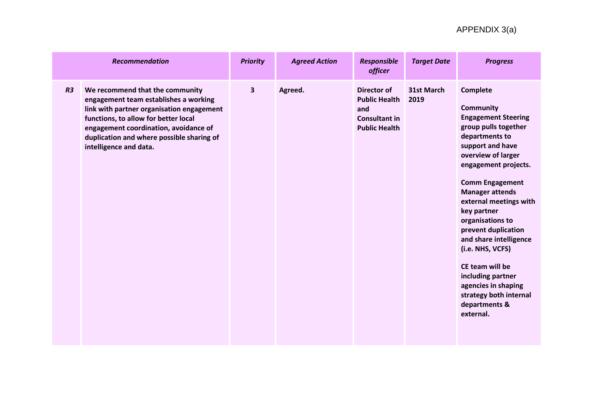|                | <b>Recommendation</b>                                                                                                                                                                                                                                                         | <b>Priority</b> | <b>Agreed Action</b> | <b>Responsible</b><br><i>officer</i>                                                              | <b>Target Date</b> | <b>Progress</b>                                                                                                                                                                                                                                                                                                                                                                                                                                                                     |
|----------------|-------------------------------------------------------------------------------------------------------------------------------------------------------------------------------------------------------------------------------------------------------------------------------|-----------------|----------------------|---------------------------------------------------------------------------------------------------|--------------------|-------------------------------------------------------------------------------------------------------------------------------------------------------------------------------------------------------------------------------------------------------------------------------------------------------------------------------------------------------------------------------------------------------------------------------------------------------------------------------------|
| R <sub>3</sub> | We recommend that the community<br>engagement team establishes a working<br>link with partner organisation engagement<br>functions, to allow for better local<br>engagement coordination, avoidance of<br>duplication and where possible sharing of<br>intelligence and data. | $\mathbf{3}$    | Agreed.              | <b>Director of</b><br><b>Public Health</b><br>and<br><b>Consultant in</b><br><b>Public Health</b> | 31st March<br>2019 | Complete<br><b>Community</b><br><b>Engagement Steering</b><br>group pulls together<br>departments to<br>support and have<br>overview of larger<br>engagement projects.<br><b>Comm Engagement</b><br><b>Manager attends</b><br>external meetings with<br>key partner<br>organisations to<br>prevent duplication<br>and share intelligence<br>(i.e. NHS, VCFS)<br>CE team will be<br>including partner<br>agencies in shaping<br>strategy both internal<br>departments &<br>external. |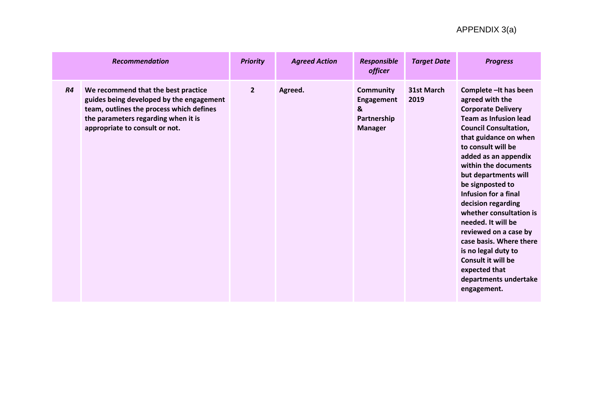|           | <b>Recommendation</b>                                                                                                                                                                                | <b>Priority</b> | <b>Agreed Action</b> | <b>Responsible</b><br><i>officer</i>                                        | <b>Target Date</b> | <b>Progress</b>                                                                                                                                                                                                                                                                                                                                                                                                                                                                                                                                   |
|-----------|------------------------------------------------------------------------------------------------------------------------------------------------------------------------------------------------------|-----------------|----------------------|-----------------------------------------------------------------------------|--------------------|---------------------------------------------------------------------------------------------------------------------------------------------------------------------------------------------------------------------------------------------------------------------------------------------------------------------------------------------------------------------------------------------------------------------------------------------------------------------------------------------------------------------------------------------------|
| <b>R4</b> | We recommend that the best practice<br>guides being developed by the engagement<br>team, outlines the process which defines<br>the parameters regarding when it is<br>appropriate to consult or not. | $\overline{2}$  | Agreed.              | <b>Community</b><br><b>Engagement</b><br>&<br>Partnership<br><b>Manager</b> | 31st March<br>2019 | Complete - It has been<br>agreed with the<br><b>Corporate Delivery</b><br><b>Team as Infusion lead</b><br><b>Council Consultation,</b><br>that guidance on when<br>to consult will be<br>added as an appendix<br>within the documents<br>but departments will<br>be signposted to<br>Infusion for a final<br>decision regarding<br>whether consultation is<br>needed. It will be<br>reviewed on a case by<br>case basis. Where there<br>is no legal duty to<br><b>Consult it will be</b><br>expected that<br>departments undertake<br>engagement. |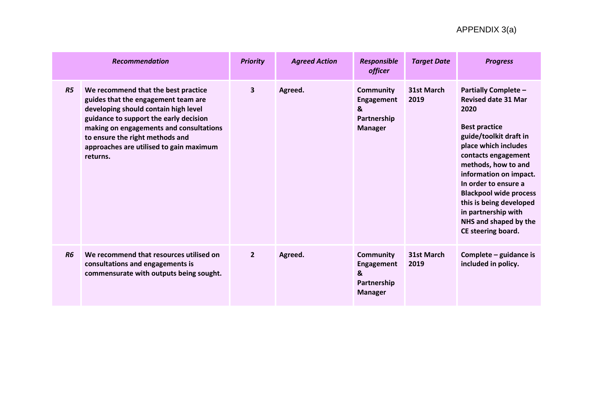|                | <b>Recommendation</b>                                                                                                                                                                                                                                                                             | <b>Priority</b> | <b>Agreed Action</b> | Responsible<br><i>officer</i>                                               | <b>Target Date</b>        | <b>Progress</b>                                                                                                                                                                                                                                                                                                                                                               |
|----------------|---------------------------------------------------------------------------------------------------------------------------------------------------------------------------------------------------------------------------------------------------------------------------------------------------|-----------------|----------------------|-----------------------------------------------------------------------------|---------------------------|-------------------------------------------------------------------------------------------------------------------------------------------------------------------------------------------------------------------------------------------------------------------------------------------------------------------------------------------------------------------------------|
| R <sub>5</sub> | We recommend that the best practice<br>guides that the engagement team are<br>developing should contain high level<br>guidance to support the early decision<br>making on engagements and consultations<br>to ensure the right methods and<br>approaches are utilised to gain maximum<br>returns. | $\mathbf{3}$    | Agreed.              | <b>Community</b><br><b>Engagement</b><br>&<br>Partnership<br><b>Manager</b> | 31st March<br>2019        | <b>Partially Complete -</b><br><b>Revised date 31 Mar</b><br>2020<br><b>Best practice</b><br>guide/toolkit draft in<br>place which includes<br>contacts engagement<br>methods, how to and<br>information on impact.<br>In order to ensure a<br><b>Blackpool wide process</b><br>this is being developed<br>in partnership with<br>NHS and shaped by the<br>CE steering board. |
| <b>R6</b>      | We recommend that resources utilised on<br>consultations and engagements is<br>commensurate with outputs being sought.                                                                                                                                                                            | $\overline{2}$  | Agreed.              | Community<br><b>Engagement</b><br>&<br>Partnership<br><b>Manager</b>        | <b>31st March</b><br>2019 | Complete – guidance is<br>included in policy.                                                                                                                                                                                                                                                                                                                                 |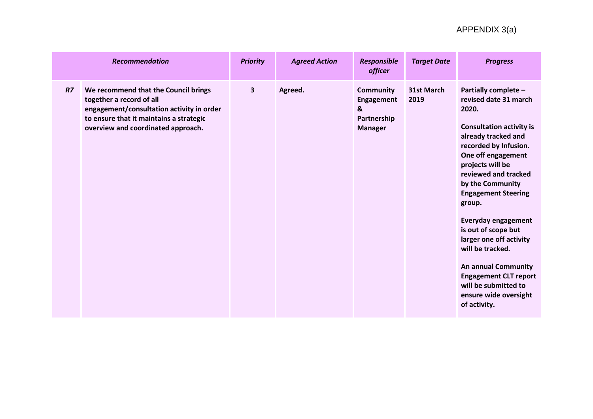|                | <b>Recommendation</b>                                                                                                                                                                          | <b>Priority</b>         | <b>Agreed Action</b> | <b>Responsible</b><br><b>officer</b>                                        | <b>Target Date</b> | <b>Progress</b>                                                                                                                                                                                                                                                                                                                                                                                                                                                                                            |
|----------------|------------------------------------------------------------------------------------------------------------------------------------------------------------------------------------------------|-------------------------|----------------------|-----------------------------------------------------------------------------|--------------------|------------------------------------------------------------------------------------------------------------------------------------------------------------------------------------------------------------------------------------------------------------------------------------------------------------------------------------------------------------------------------------------------------------------------------------------------------------------------------------------------------------|
| R <sub>7</sub> | We recommend that the Council brings<br>together a record of all<br>engagement/consultation activity in order<br>to ensure that it maintains a strategic<br>overview and coordinated approach. | $\overline{\mathbf{3}}$ | Agreed.              | <b>Community</b><br><b>Engagement</b><br>&<br>Partnership<br><b>Manager</b> | 31st March<br>2019 | Partially complete -<br>revised date 31 march<br>2020.<br><b>Consultation activity is</b><br>already tracked and<br>recorded by Infusion.<br>One off engagement<br>projects will be<br>reviewed and tracked<br>by the Community<br><b>Engagement Steering</b><br>group.<br><b>Everyday engagement</b><br>is out of scope but<br>larger one off activity<br>will be tracked.<br><b>An annual Community</b><br><b>Engagement CLT report</b><br>will be submitted to<br>ensure wide oversight<br>of activity. |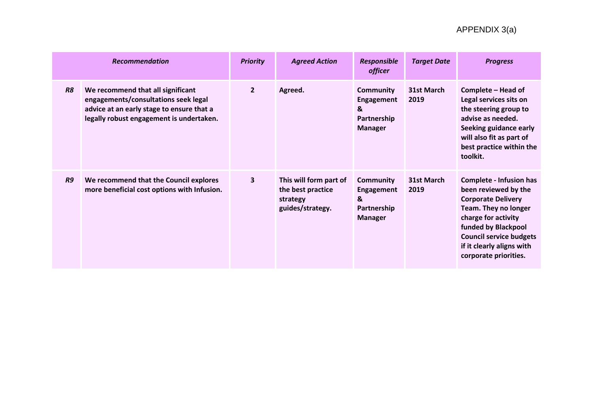|           | <b>Recommendation</b>                                                                                                                                              | <b>Priority</b> | <b>Agreed Action</b>                                                        | <b>Responsible</b><br><i>officer</i>                                 | <b>Target Date</b> | <b>Progress</b>                                                                                                                                                                                                                                   |
|-----------|--------------------------------------------------------------------------------------------------------------------------------------------------------------------|-----------------|-----------------------------------------------------------------------------|----------------------------------------------------------------------|--------------------|---------------------------------------------------------------------------------------------------------------------------------------------------------------------------------------------------------------------------------------------------|
| <b>R8</b> | We recommend that all significant<br>engagements/consultations seek legal<br>advice at an early stage to ensure that a<br>legally robust engagement is undertaken. | $\overline{2}$  | Agreed.                                                                     | <b>Community</b><br>Engagement<br>&<br>Partnership<br><b>Manager</b> | 31st March<br>2019 | Complete - Head of<br>Legal services sits on<br>the steering group to<br>advise as needed.<br>Seeking guidance early<br>will also fit as part of<br>best practice within the<br>toolkit.                                                          |
| R9        | We recommend that the Council explores<br>more beneficial cost options with Infusion.                                                                              | 3               | This will form part of<br>the best practice<br>strategy<br>guides/strategy. | <b>Community</b><br>Engagement<br>&<br>Partnership<br><b>Manager</b> | 31st March<br>2019 | <b>Complete - Infusion has</b><br>been reviewed by the<br><b>Corporate Delivery</b><br>Team. They no longer<br>charge for activity<br>funded by Blackpool<br><b>Council service budgets</b><br>if it clearly aligns with<br>corporate priorities. |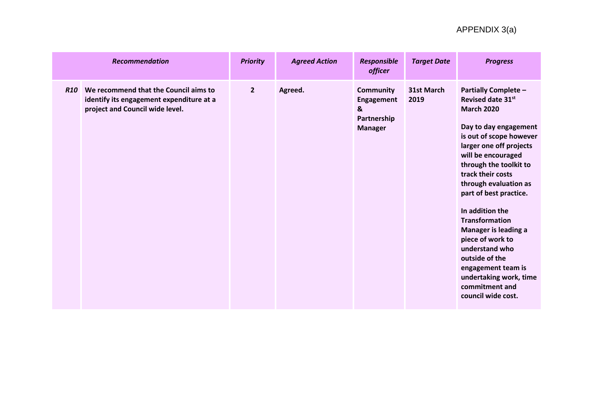|            | <b>Recommendation</b>                                                                                                | <b>Priority</b> | <b>Agreed Action</b> | <b>Responsible</b><br><i>officer</i>                                        | <b>Target Date</b> | <b>Progress</b>                                                                                                                                                                                                                                                                                                                                                                                                                                                                                         |
|------------|----------------------------------------------------------------------------------------------------------------------|-----------------|----------------------|-----------------------------------------------------------------------------|--------------------|---------------------------------------------------------------------------------------------------------------------------------------------------------------------------------------------------------------------------------------------------------------------------------------------------------------------------------------------------------------------------------------------------------------------------------------------------------------------------------------------------------|
| <b>R10</b> | We recommend that the Council aims to<br>identify its engagement expenditure at a<br>project and Council wide level. | $\overline{2}$  | Agreed.              | <b>Community</b><br><b>Engagement</b><br>&<br>Partnership<br><b>Manager</b> | 31st March<br>2019 | <b>Partially Complete -</b><br>Revised date 31st<br><b>March 2020</b><br>Day to day engagement<br>is out of scope however<br>larger one off projects<br>will be encouraged<br>through the toolkit to<br>track their costs<br>through evaluation as<br>part of best practice.<br>In addition the<br><b>Transformation</b><br><b>Manager is leading a</b><br>piece of work to<br>understand who<br>outside of the<br>engagement team is<br>undertaking work, time<br>commitment and<br>council wide cost. |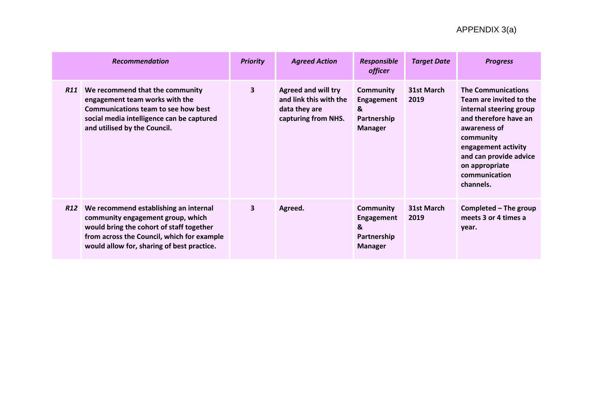|     | <b>Recommendation</b>                                                                                                                                                                                              | <b>Priority</b>         | <b>Agreed Action</b>                                                                         | <b>Responsible</b><br><i>officer</i>                                        | <b>Target Date</b> | <b>Progress</b>                                                                                                                                                                                                                        |
|-----|--------------------------------------------------------------------------------------------------------------------------------------------------------------------------------------------------------------------|-------------------------|----------------------------------------------------------------------------------------------|-----------------------------------------------------------------------------|--------------------|----------------------------------------------------------------------------------------------------------------------------------------------------------------------------------------------------------------------------------------|
| R11 | We recommend that the community<br>engagement team works with the<br>Communications team to see how best<br>social media intelligence can be captured<br>and utilised by the Council.                              | 3                       | <b>Agreed and will try</b><br>and link this with the<br>data they are<br>capturing from NHS. | Community<br><b>Engagement</b><br>&<br>Partnership<br><b>Manager</b>        | 31st March<br>2019 | <b>The Communications</b><br>Team are invited to the<br>internal steering group<br>and therefore have an<br>awareness of<br>community<br>engagement activity<br>and can provide advice<br>on appropriate<br>communication<br>channels. |
| R12 | We recommend establishing an internal<br>community engagement group, which<br>would bring the cohort of staff together<br>from across the Council, which for example<br>would allow for, sharing of best practice. | $\overline{\mathbf{3}}$ | Agreed.                                                                                      | <b>Community</b><br><b>Engagement</b><br>&<br>Partnership<br><b>Manager</b> | 31st March<br>2019 | Completed – The group<br>meets 3 or 4 times a<br>vear.                                                                                                                                                                                 |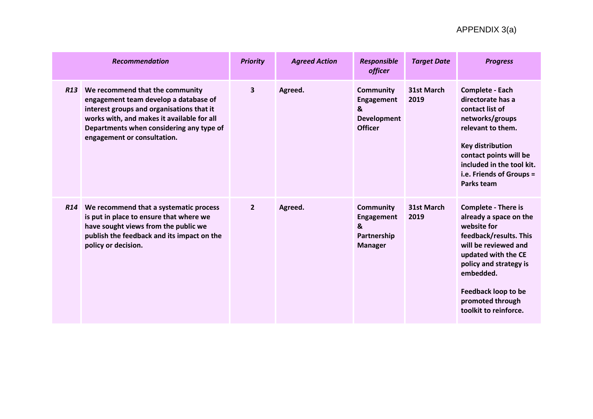|            | <b>Recommendation</b>                                                                                                                                                                                                                          | <b>Priority</b>         | <b>Agreed Action</b> | <b>Responsible</b><br><i>officer</i>                                               | <b>Target Date</b> | <b>Progress</b>                                                                                                                                                                                                                                                |
|------------|------------------------------------------------------------------------------------------------------------------------------------------------------------------------------------------------------------------------------------------------|-------------------------|----------------------|------------------------------------------------------------------------------------|--------------------|----------------------------------------------------------------------------------------------------------------------------------------------------------------------------------------------------------------------------------------------------------------|
| <b>R13</b> | We recommend that the community<br>engagement team develop a database of<br>interest groups and organisations that it<br>works with, and makes it available for all<br>Departments when considering any type of<br>engagement or consultation. | $\overline{\mathbf{3}}$ | Agreed.              | <b>Community</b><br><b>Engagement</b><br>&<br><b>Development</b><br><b>Officer</b> | 31st March<br>2019 | <b>Complete - Each</b><br>directorate has a<br>contact list of<br>networks/groups<br>relevant to them.<br><b>Key distribution</b><br>contact points will be<br>included in the tool kit.<br>i.e. Friends of Groups =<br><b>Parks team</b>                      |
|            | R14 We recommend that a systematic process<br>is put in place to ensure that where we<br>have sought views from the public we<br>publish the feedback and its impact on the<br>policy or decision.                                             | $\overline{2}$          | Agreed.              | <b>Community</b><br><b>Engagement</b><br>&<br>Partnership<br><b>Manager</b>        | 31st March<br>2019 | <b>Complete - There is</b><br>already a space on the<br>website for<br>feedback/results. This<br>will be reviewed and<br>updated with the CE<br>policy and strategy is<br>embedded.<br><b>Feedback loop to be</b><br>promoted through<br>toolkit to reinforce. |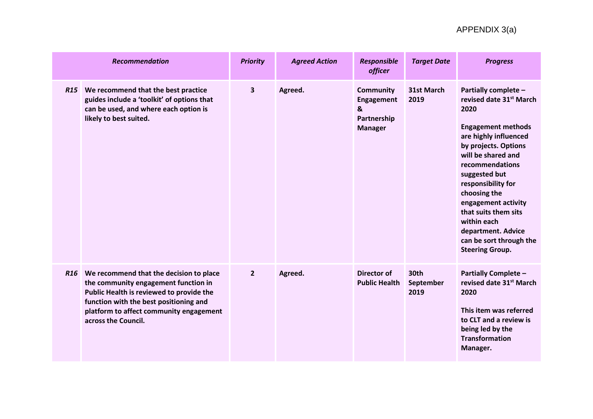|            | <b>Recommendation</b>                                                                                                                                                                                                                       | <b>Priority</b>         | <b>Agreed Action</b> | <b>Responsible</b><br><i>officer</i>                                        | <b>Target Date</b>        | <b>Progress</b>                                                                                                                                                                                                                                                                                                                                                                            |
|------------|---------------------------------------------------------------------------------------------------------------------------------------------------------------------------------------------------------------------------------------------|-------------------------|----------------------|-----------------------------------------------------------------------------|---------------------------|--------------------------------------------------------------------------------------------------------------------------------------------------------------------------------------------------------------------------------------------------------------------------------------------------------------------------------------------------------------------------------------------|
| <b>R15</b> | We recommend that the best practice<br>guides include a 'toolkit' of options that<br>can be used, and where each option is<br>likely to best suited.                                                                                        | $\overline{\mathbf{3}}$ | Agreed.              | <b>Community</b><br><b>Engagement</b><br>&<br>Partnership<br><b>Manager</b> | 31st March<br>2019        | Partially complete -<br>revised date 31 <sup>st</sup> March<br>2020<br><b>Engagement methods</b><br>are highly influenced<br>by projects. Options<br>will be shared and<br>recommendations<br>suggested but<br>responsibility for<br>choosing the<br>engagement activity<br>that suits them sits<br>within each<br>department. Advice<br>can be sort through the<br><b>Steering Group.</b> |
|            | R16 We recommend that the decision to place<br>the community engagement function in<br>Public Health is reviewed to provide the<br>function with the best positioning and<br>platform to affect community engagement<br>across the Council. | $\overline{2}$          | Agreed.              | Director of<br><b>Public Health</b>                                         | 30th<br>September<br>2019 | <b>Partially Complete -</b><br>revised date 31 <sup>st</sup> March<br>2020<br>This item was referred<br>to CLT and a review is<br>being led by the<br><b>Transformation</b><br>Manager.                                                                                                                                                                                                    |